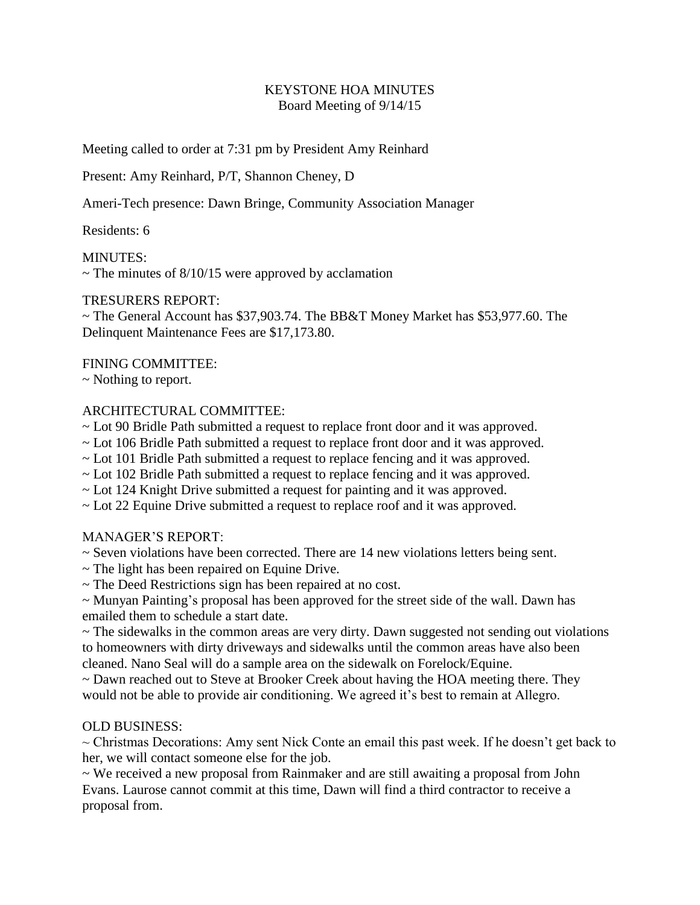## KEYSTONE HOA MINUTES Board Meeting of 9/14/15

Meeting called to order at 7:31 pm by President Amy Reinhard

Present: Amy Reinhard, P/T, Shannon Cheney, D

Ameri-Tech presence: Dawn Bringe, Community Association Manager

Residents: 6

MINUTES:

 $\sim$  The minutes of 8/10/15 were approved by acclamation

### TRESURERS REPORT:

~ The General Account has \$37,903.74. The BB&T Money Market has \$53,977.60. The Delinquent Maintenance Fees are \$17,173.80.

### FINING COMMITTEE:

~ Nothing to report.

### ARCHITECTURAL COMMITTEE:

- ~ Lot 90 Bridle Path submitted a request to replace front door and it was approved.
- ~ Lot 106 Bridle Path submitted a request to replace front door and it was approved.
- ~ Lot 101 Bridle Path submitted a request to replace fencing and it was approved.
- ~ Lot 102 Bridle Path submitted a request to replace fencing and it was approved.
- ~ Lot 124 Knight Drive submitted a request for painting and it was approved.
- ~ Lot 22 Equine Drive submitted a request to replace roof and it was approved.

# MANAGER'S REPORT:

- ~ Seven violations have been corrected. There are 14 new violations letters being sent.
- $\sim$  The light has been repaired on Equine Drive.
- ~ The Deed Restrictions sign has been repaired at no cost.

~ Munyan Painting's proposal has been approved for the street side of the wall. Dawn has emailed them to schedule a start date.

 $\sim$  The sidewalks in the common areas are very dirty. Dawn suggested not sending out violations to homeowners with dirty driveways and sidewalks until the common areas have also been cleaned. Nano Seal will do a sample area on the sidewalk on Forelock/Equine.

~ Dawn reached out to Steve at Brooker Creek about having the HOA meeting there. They would not be able to provide air conditioning. We agreed it's best to remain at Allegro.

### OLD BUSINESS:

 $\sim$  Christmas Decorations: Amy sent Nick Conte an email this past week. If he doesn't get back to her, we will contact someone else for the job.

~ We received a new proposal from Rainmaker and are still awaiting a proposal from John Evans. Laurose cannot commit at this time, Dawn will find a third contractor to receive a proposal from.